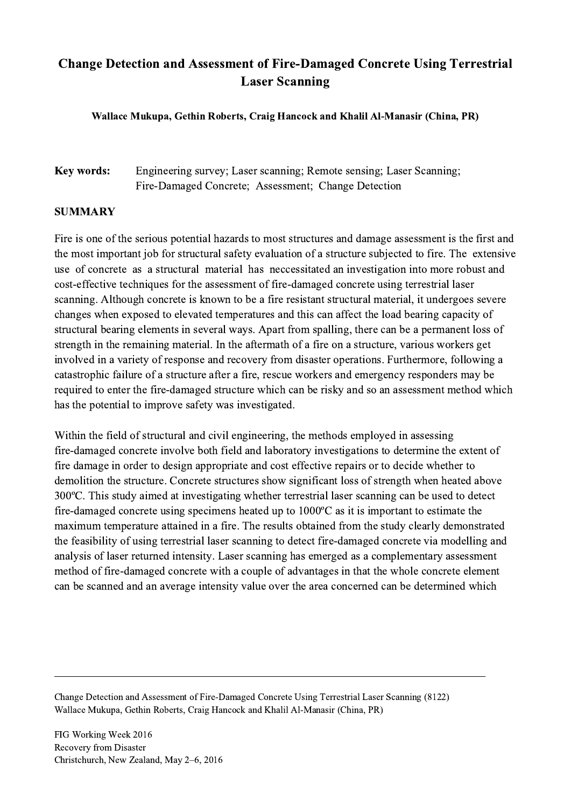## Change Detection and Assessment of Fire-Damaged Concrete Using Terrestrial Laser Scanning

Wallace Mukupa, Gethin Roberts, Craig Hancock and Khalil Al-Manasir (China, PR)

## Key words: Engineering survey; Laser scanning; Remote sensing; Laser Scanning; Fire-Damaged Concrete; Assessment; Change Detection

## SUMMARY

Fire is one of the serious potential hazards to most structures and damage assessment is the first and the most important job for structural safety evaluation of a structure subjected to fire. The extensive use of concrete as a structural material has neccessitated an investigation into more robust and cost-effective techniques for the assessment of fire-damaged concrete using terrestrial laser scanning. Although concrete is known to be a fire resistant structural material, it undergoes severe changes when exposed to elevated temperatures and this can affect the load bearing capacity of structural bearing elements in several ways. Apart from spalling, there can be a permanent loss of strength in the remaining material. In the aftermath of a fire on a structure, various workers get involved in a variety of response and recovery from disaster operations. Furthermore, following a catastrophic failure of a structure after a fire, rescue workers and emergency responders may be required to enter the fire-damaged structure which can be risky and so an assessment method which has the potential to improve safety was investigated.

Within the field of structural and civil engineering, the methods employed in assessing fire-damaged concrete involve both field and laboratory investigations to determine the extent of fire damage in order to design appropriate and cost effective repairs or to decide whether to demolition the structure. Concrete structures show significant loss of strength when heated above 300ºC. This study aimed at investigating whether terrestrial laser scanning can be used to detect fire-damaged concrete using specimens heated up to 1000ºC as it is important to estimate the maximum temperature attained in a fire. The results obtained from the study clearly demonstrated the feasibility of using terrestrial laser scanning to detect fire-damaged concrete via modelling and analysis of laser returned intensity. Laser scanning has emerged as a complementary assessment method of fire-damaged concrete with a couple of advantages in that the whole concrete element can be scanned and an average intensity value over the area concerned can be determined which

Change Detection and Assessment of Fire-Damaged Concrete Using Terrestrial Laser Scanning (8122) Wallace Mukupa, Gethin Roberts, Craig Hancock and Khalil Al-Manasir (China, PR)

 $\mathcal{L}_\mathcal{L} = \{ \mathcal{L}_\mathcal{L} = \{ \mathcal{L}_\mathcal{L} = \{ \mathcal{L}_\mathcal{L} = \{ \mathcal{L}_\mathcal{L} = \{ \mathcal{L}_\mathcal{L} = \{ \mathcal{L}_\mathcal{L} = \{ \mathcal{L}_\mathcal{L} = \{ \mathcal{L}_\mathcal{L} = \{ \mathcal{L}_\mathcal{L} = \{ \mathcal{L}_\mathcal{L} = \{ \mathcal{L}_\mathcal{L} = \{ \mathcal{L}_\mathcal{L} = \{ \mathcal{L}_\mathcal{L} = \{ \mathcal{L}_\mathcal{$ 

FIG Working Week 2016 Recovery from Disaster Christchurch, New Zealand, May 2–6, 2016